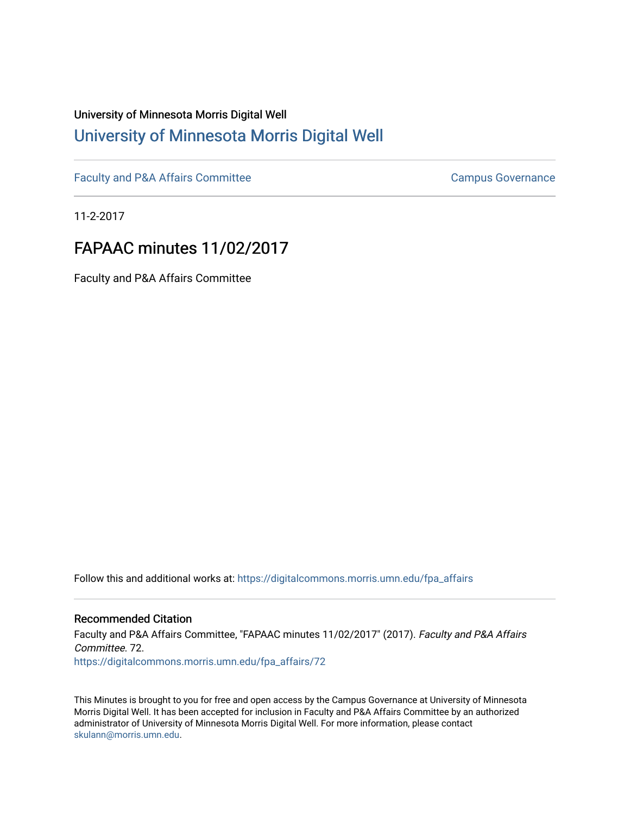## University of Minnesota Morris Digital Well [University of Minnesota Morris Digital Well](https://digitalcommons.morris.umn.edu/)

[Faculty and P&A Affairs Committee](https://digitalcommons.morris.umn.edu/fpa_affairs) [Campus Governance](https://digitalcommons.morris.umn.edu/campgov) Campus Governance

11-2-2017

# FAPAAC minutes 11/02/2017

Faculty and P&A Affairs Committee

Follow this and additional works at: [https://digitalcommons.morris.umn.edu/fpa\\_affairs](https://digitalcommons.morris.umn.edu/fpa_affairs?utm_source=digitalcommons.morris.umn.edu%2Ffpa_affairs%2F72&utm_medium=PDF&utm_campaign=PDFCoverPages)

## Recommended Citation

Faculty and P&A Affairs Committee, "FAPAAC minutes 11/02/2017" (2017). Faculty and P&A Affairs Committee. 72. [https://digitalcommons.morris.umn.edu/fpa\\_affairs/72](https://digitalcommons.morris.umn.edu/fpa_affairs/72?utm_source=digitalcommons.morris.umn.edu%2Ffpa_affairs%2F72&utm_medium=PDF&utm_campaign=PDFCoverPages) 

This Minutes is brought to you for free and open access by the Campus Governance at University of Minnesota Morris Digital Well. It has been accepted for inclusion in Faculty and P&A Affairs Committee by an authorized administrator of University of Minnesota Morris Digital Well. For more information, please contact [skulann@morris.umn.edu.](mailto:skulann@morris.umn.edu)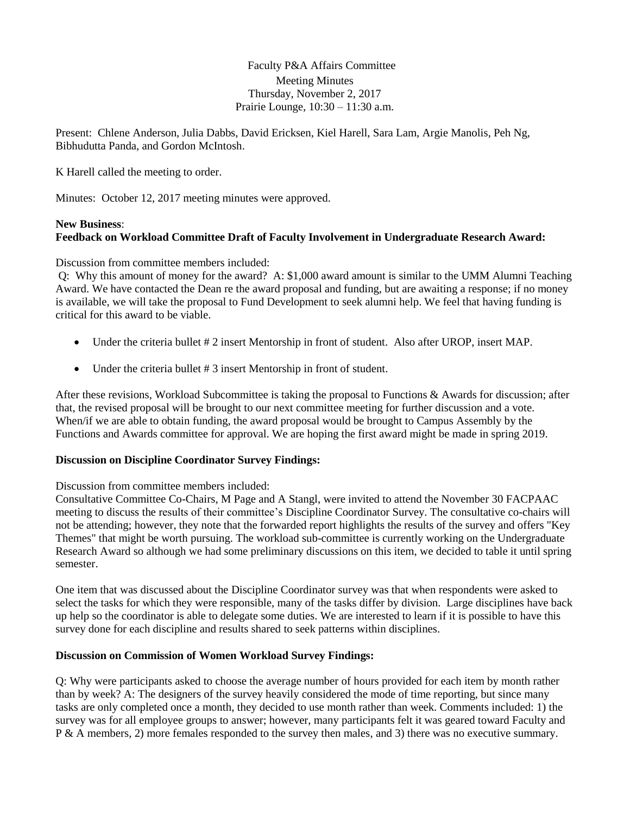Faculty P&A Affairs Committee Meeting Minutes Thursday, November 2, 2017 Prairie Lounge, 10:30 – 11:30 a.m.

Present: Chlene Anderson, Julia Dabbs, David Ericksen, Kiel Harell, Sara Lam, Argie Manolis, Peh Ng, Bibhudutta Panda, and Gordon McIntosh.

K Harell called the meeting to order.

Minutes: October 12, 2017 meeting minutes were approved.

## **New Business**:

## **Feedback on Workload Committee Draft of Faculty Involvement in Undergraduate Research Award:**

Discussion from committee members included:

Q: Why this amount of money for the award? A: \$1,000 award amount is similar to the UMM Alumni Teaching Award. We have contacted the Dean re the award proposal and funding, but are awaiting a response; if no money is available, we will take the proposal to Fund Development to seek alumni help. We feel that having funding is critical for this award to be viable.

- Under the criteria bullet # 2 insert Mentorship in front of student. Also after UROP, insert MAP.
- Under the criteria bullet # 3 insert Mentorship in front of student.

After these revisions, Workload Subcommittee is taking the proposal to Functions & Awards for discussion; after that, the revised proposal will be brought to our next committee meeting for further discussion and a vote. When/if we are able to obtain funding, the award proposal would be brought to Campus Assembly by the Functions and Awards committee for approval. We are hoping the first award might be made in spring 2019.

#### **Discussion on Discipline Coordinator Survey Findings:**

Discussion from committee members included:

Consultative Committee Co-Chairs, M Page and A Stangl, were invited to attend the November 30 FACPAAC meeting to discuss the results of their committee's Discipline Coordinator Survey. The consultative co-chairs will not be attending; however, they note that the forwarded report highlights the results of the survey and offers "Key Themes" that might be worth pursuing. The workload sub-committee is currently working on the Undergraduate Research Award so although we had some preliminary discussions on this item, we decided to table it until spring semester.

One item that was discussed about the Discipline Coordinator survey was that when respondents were asked to select the tasks for which they were responsible, many of the tasks differ by division. Large disciplines have back up help so the coordinator is able to delegate some duties. We are interested to learn if it is possible to have this survey done for each discipline and results shared to seek patterns within disciplines.

#### **Discussion on Commission of Women Workload Survey Findings:**

Q: Why were participants asked to choose the average number of hours provided for each item by month rather than by week? A: The designers of the survey heavily considered the mode of time reporting, but since many tasks are only completed once a month, they decided to use month rather than week. Comments included: 1) the survey was for all employee groups to answer; however, many participants felt it was geared toward Faculty and P & A members, 2) more females responded to the survey then males, and 3) there was no executive summary.